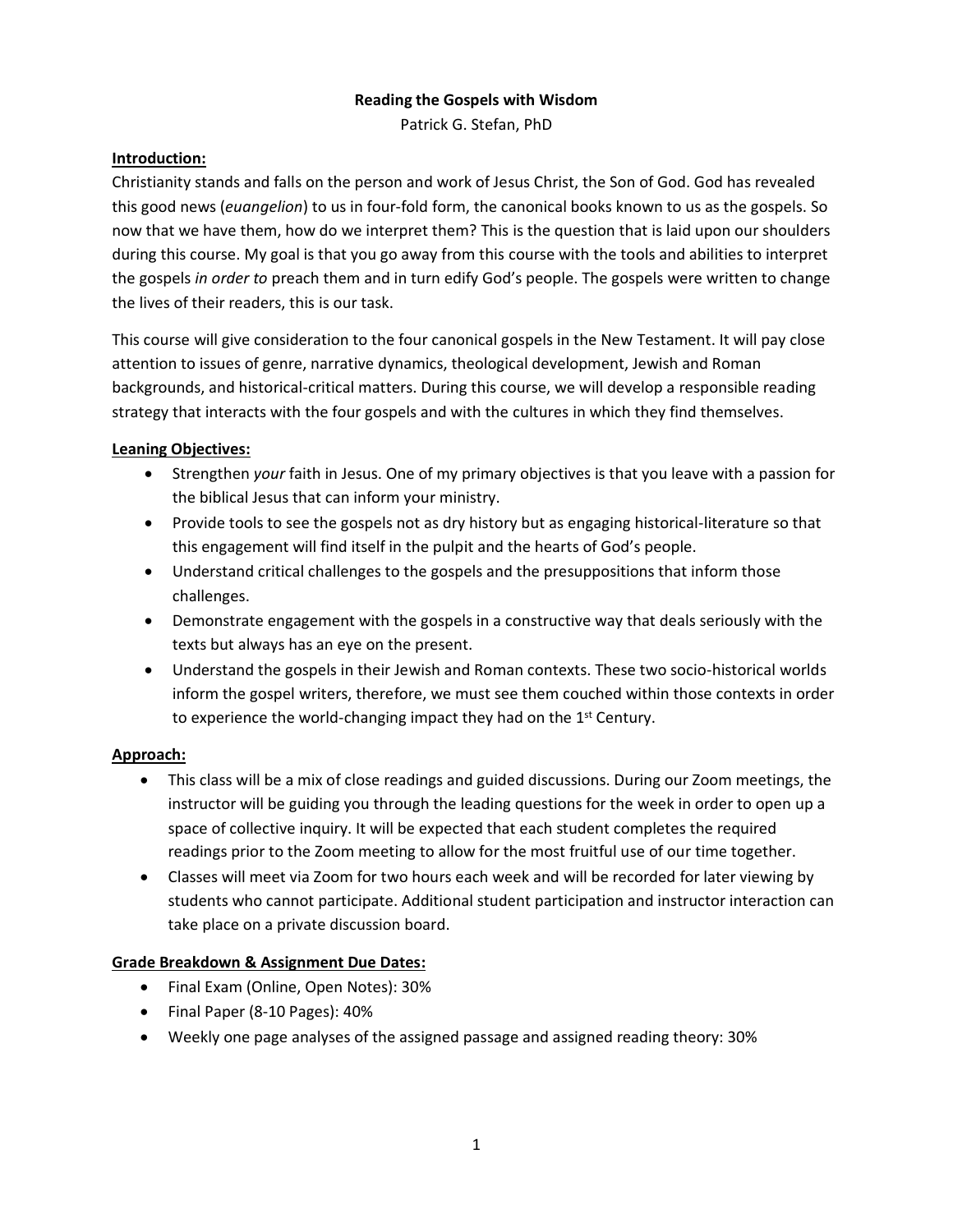#### **Reading the Gospels with Wisdom**

Patrick G. Stefan, PhD

#### **Introduction:**

Christianity stands and falls on the person and work of Jesus Christ, the Son of God. God has revealed this good news (*euangelion*) to us in four-fold form, the canonical books known to us as the gospels. So now that we have them, how do we interpret them? This is the question that is laid upon our shoulders during this course. My goal is that you go away from this course with the tools and abilities to interpret the gospels *in order to* preach them and in turn edify God's people. The gospels were written to change the lives of their readers, this is our task.

This course will give consideration to the four canonical gospels in the New Testament. It will pay close attention to issues of genre, narrative dynamics, theological development, Jewish and Roman backgrounds, and historical-critical matters. During this course, we will develop a responsible reading strategy that interacts with the four gospels and with the cultures in which they find themselves.

#### **Leaning Objectives:**

- Strengthen *your* faith in Jesus. One of my primary objectives is that you leave with a passion for the biblical Jesus that can inform your ministry.
- Provide tools to see the gospels not as dry history but as engaging historical-literature so that this engagement will find itself in the pulpit and the hearts of God's people.
- Understand critical challenges to the gospels and the presuppositions that inform those challenges.
- Demonstrate engagement with the gospels in a constructive way that deals seriously with the texts but always has an eye on the present.
- Understand the gospels in their Jewish and Roman contexts. These two socio-historical worlds inform the gospel writers, therefore, we must see them couched within those contexts in order to experience the world-changing impact they had on the 1<sup>st</sup> Century.

# **Approach:**

- This class will be a mix of close readings and guided discussions. During our Zoom meetings, the instructor will be guiding you through the leading questions for the week in order to open up a space of collective inquiry. It will be expected that each student completes the required readings prior to the Zoom meeting to allow for the most fruitful use of our time together.
- Classes will meet via Zoom for two hours each week and will be recorded for later viewing by students who cannot participate. Additional student participation and instructor interaction can take place on a private discussion board.

#### **Grade Breakdown & Assignment Due Dates:**

- Final Exam (Online, Open Notes): 30%
- Final Paper (8-10 Pages): 40%
- Weekly one page analyses of the assigned passage and assigned reading theory: 30%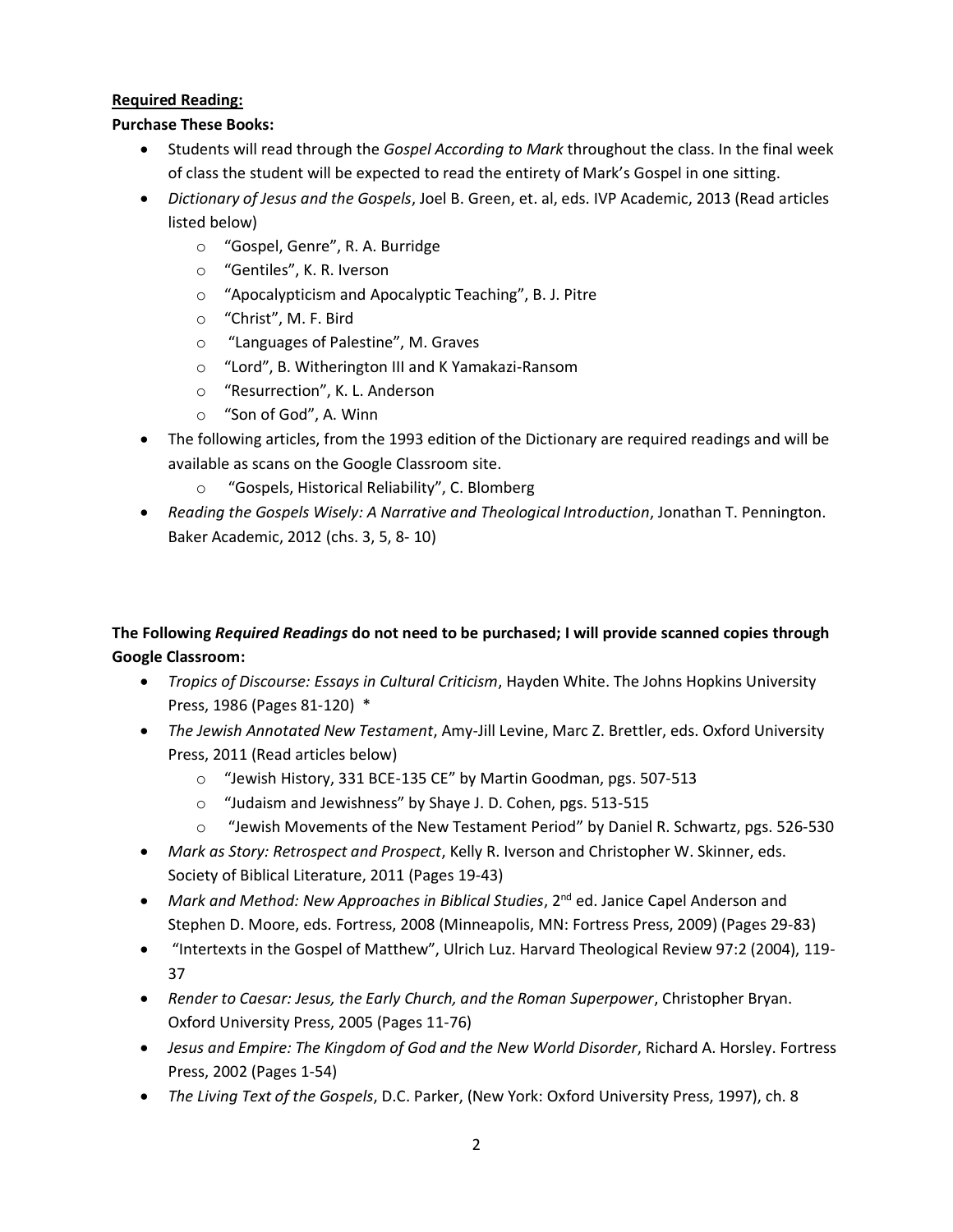# **Required Reading:**

# **Purchase These Books:**

- Students will read through the *Gospel According to Mark* throughout the class. In the final week of class the student will be expected to read the entirety of Mark's Gospel in one sitting.
- *Dictionary of Jesus and the Gospels*, Joel B. Green, et. al, eds. IVP Academic, 2013 (Read articles listed below)
	- o "Gospel, Genre", R. A. Burridge
	- o "Gentiles", K. R. Iverson
	- o "Apocalypticism and Apocalyptic Teaching", B. J. Pitre
	- o "Christ", M. F. Bird
	- o "Languages of Palestine", M. Graves
	- o "Lord", B. Witherington III and K Yamakazi-Ransom
	- o "Resurrection", K. L. Anderson
	- o "Son of God", A. Winn
- The following articles, from the 1993 edition of the Dictionary are required readings and will be available as scans on the Google Classroom site.
	- "Gospels, Historical Reliability", C. Blomberg
- *Reading the Gospels Wisely: A Narrative and Theological Introduction*, Jonathan T. Pennington. Baker Academic, 2012 (chs. 3, 5, 8- 10)

# **The Following** *Required Readings* **do not need to be purchased; I will provide scanned copies through Google Classroom:**

- *Tropics of Discourse: Essays in Cultural Criticism*, Hayden White. The Johns Hopkins University Press, 1986 (Pages 81-120) \*
- *The Jewish Annotated New Testament*, Amy-Jill Levine, Marc Z. Brettler, eds. Oxford University Press, 2011 (Read articles below)
	- o "Jewish History, 331 BCE-135 CE" by Martin Goodman, pgs. 507-513
	- o "Judaism and Jewishness" by Shaye J. D. Cohen, pgs. 513-515
	- o "Jewish Movements of the New Testament Period" by Daniel R. Schwartz, pgs. 526-530
- *Mark as Story: Retrospect and Prospect*, Kelly R. Iverson and Christopher W. Skinner, eds. Society of Biblical Literature, 2011 (Pages 19-43)
- *Mark and Method: New Approaches in Biblical Studies*, 2<sup>nd</sup> ed. Janice Capel Anderson and Stephen D. Moore, eds. Fortress, 2008 (Minneapolis, MN: Fortress Press, 2009) (Pages 29-83)
- "Intertexts in the Gospel of Matthew", Ulrich Luz. Harvard Theological Review 97:2 (2004), 119- 37
- *Render to Caesar: Jesus, the Early Church, and the Roman Superpower*, Christopher Bryan. Oxford University Press, 2005 (Pages 11-76)
- *Jesus and Empire: The Kingdom of God and the New World Disorder*, Richard A. Horsley. Fortress Press, 2002 (Pages 1-54)
- *The Living Text of the Gospels*, D.C. Parker, (New York: Oxford University Press, 1997), ch. 8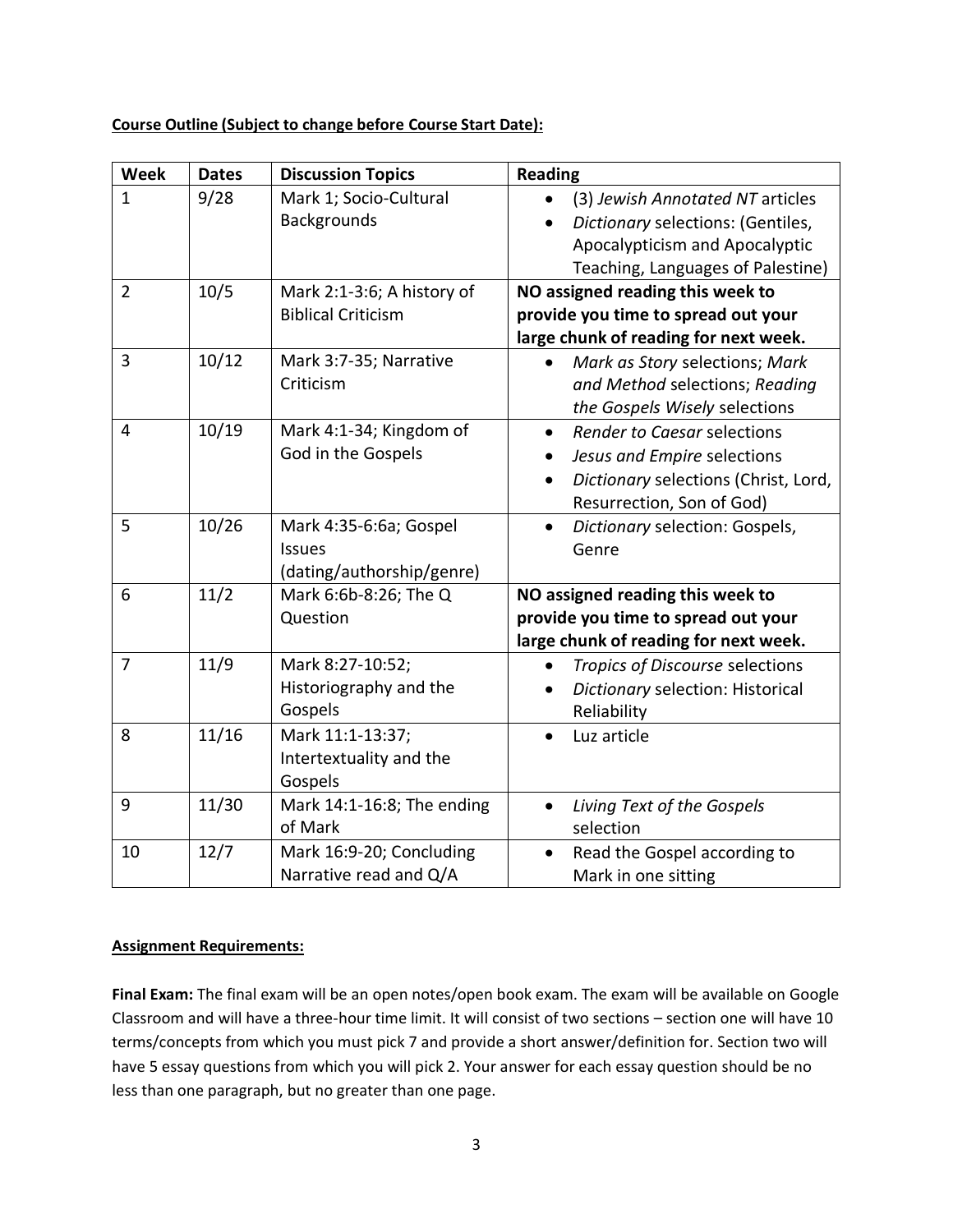#### **Course Outline (Subject to change before Course Start Date):**

| <b>Week</b>    | <b>Dates</b> | <b>Discussion Topics</b>   | <b>Reading</b>                              |
|----------------|--------------|----------------------------|---------------------------------------------|
| $\mathbf{1}$   | 9/28         | Mark 1; Socio-Cultural     | (3) Jewish Annotated NT articles            |
|                |              | <b>Backgrounds</b>         | Dictionary selections: (Gentiles,           |
|                |              |                            | Apocalypticism and Apocalyptic              |
|                |              |                            | Teaching, Languages of Palestine)           |
| $\overline{2}$ | 10/5         | Mark 2:1-3:6; A history of | NO assigned reading this week to            |
|                |              | <b>Biblical Criticism</b>  | provide you time to spread out your         |
|                |              |                            | large chunk of reading for next week.       |
| $\overline{3}$ | 10/12        | Mark 3:7-35; Narrative     | Mark as Story selections; Mark              |
|                |              | Criticism                  | and Method selections; Reading              |
|                |              |                            | the Gospels Wisely selections               |
| $\overline{4}$ | 10/19        | Mark 4:1-34; Kingdom of    | Render to Caesar selections                 |
|                |              | God in the Gospels         | Jesus and Empire selections                 |
|                |              |                            | Dictionary selections (Christ, Lord,        |
|                |              |                            | Resurrection, Son of God)                   |
| 5              | 10/26        | Mark 4:35-6:6a; Gospel     | Dictionary selection: Gospels,<br>$\bullet$ |
|                |              | <b>Issues</b>              | Genre                                       |
|                |              | (dating/authorship/genre)  |                                             |
| 6              | 11/2         | Mark 6:6b-8:26; The Q      | NO assigned reading this week to            |
|                |              | Question                   | provide you time to spread out your         |
|                |              |                            | large chunk of reading for next week.       |
| $\overline{7}$ | 11/9         | Mark 8:27-10:52;           | Tropics of Discourse selections             |
|                |              | Historiography and the     | Dictionary selection: Historical            |
|                |              | Gospels                    | Reliability                                 |
| 8              | 11/16        | Mark 11:1-13:37;           | Luz article                                 |
|                |              | Intertextuality and the    |                                             |
|                |              | Gospels                    |                                             |
| 9              | 11/30        | Mark 14:1-16:8; The ending | Living Text of the Gospels<br>$\bullet$     |
|                |              | of Mark                    | selection                                   |
| 10             | 12/7         | Mark 16:9-20; Concluding   | Read the Gospel according to<br>$\bullet$   |
|                |              | Narrative read and Q/A     | Mark in one sitting                         |

# **Assignment Requirements:**

**Final Exam:** The final exam will be an open notes/open book exam. The exam will be available on Google Classroom and will have a three-hour time limit. It will consist of two sections – section one will have 10 terms/concepts from which you must pick 7 and provide a short answer/definition for. Section two will have 5 essay questions from which you will pick 2. Your answer for each essay question should be no less than one paragraph, but no greater than one page.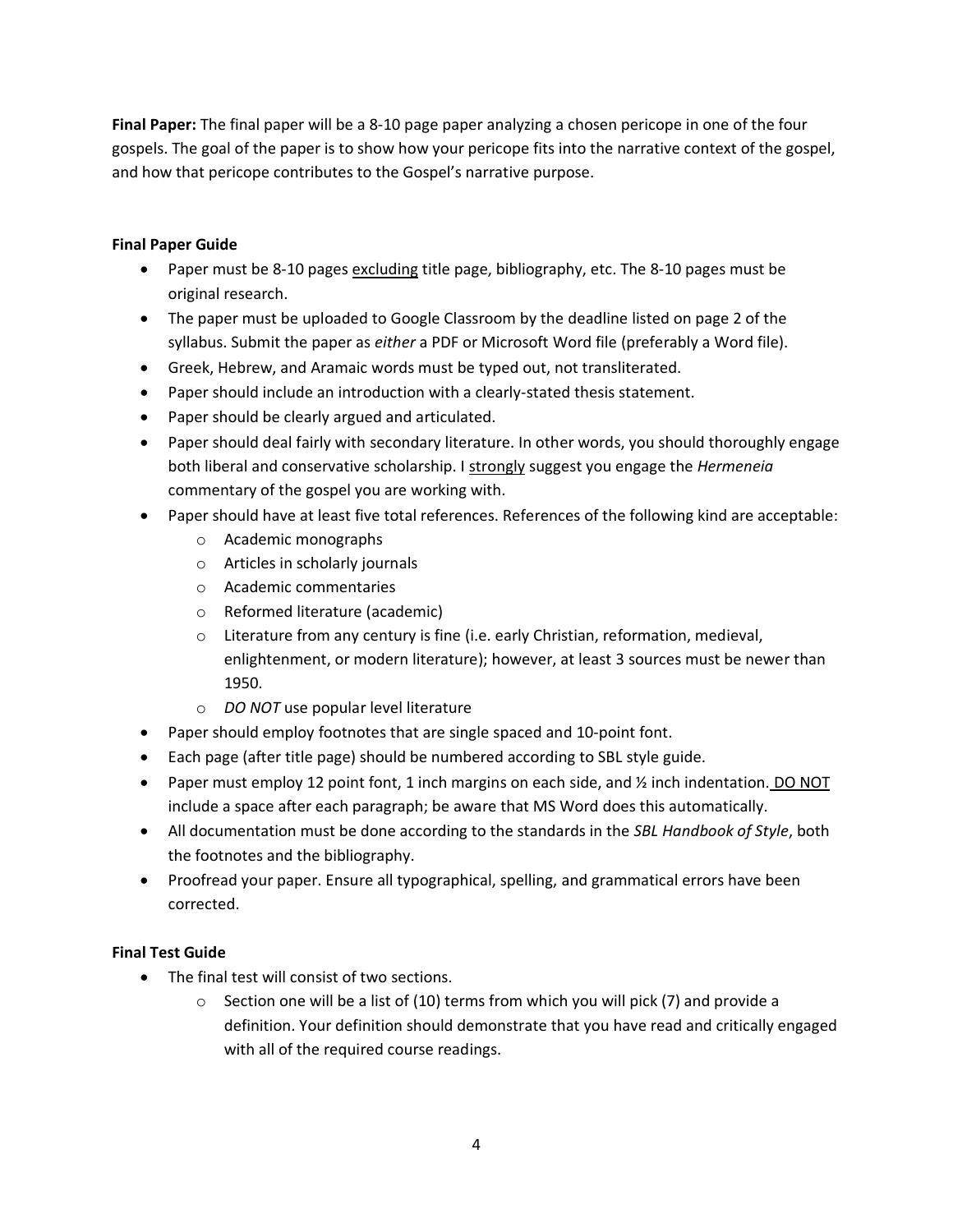**Final Paper:** The final paper will be a 8-10 page paper analyzing a chosen pericope in one of the four gospels. The goal of the paper is to show how your pericope fits into the narrative context of the gospel, and how that pericope contributes to the Gospel's narrative purpose.

## **Final Paper Guide**

- Paper must be 8-10 pages excluding title page, bibliography, etc. The 8-10 pages must be original research.
- The paper must be uploaded to Google Classroom by the deadline listed on page 2 of the syllabus. Submit the paper as *either* a PDF or Microsoft Word file (preferably a Word file).
- Greek, Hebrew, and Aramaic words must be typed out, not transliterated.
- Paper should include an introduction with a clearly-stated thesis statement.
- Paper should be clearly argued and articulated.
- Paper should deal fairly with secondary literature. In other words, you should thoroughly engage both liberal and conservative scholarship. I strongly suggest you engage the *Hermeneia* commentary of the gospel you are working with.
- Paper should have at least five total references. References of the following kind are acceptable:
	- o Academic monographs
	- o Articles in scholarly journals
	- o Academic commentaries
	- o Reformed literature (academic)
	- $\circ$  Literature from any century is fine (i.e. early Christian, reformation, medieval, enlightenment, or modern literature); however, at least 3 sources must be newer than 1950.
	- o *DO NOT* use popular level literature
- Paper should employ footnotes that are single spaced and 10-point font.
- Each page (after title page) should be numbered according to SBL style guide.
- Paper must employ 12 point font, 1 inch margins on each side, and % inch indentation. DO NOT include a space after each paragraph; be aware that MS Word does this automatically.
- All documentation must be done according to the standards in the *SBL Handbook of Style*, both the footnotes and the bibliography.
- Proofread your paper. Ensure all typographical, spelling, and grammatical errors have been corrected.

# **Final Test Guide**

- The final test will consist of two sections.
	- $\circ$  Section one will be a list of (10) terms from which you will pick (7) and provide a definition. Your definition should demonstrate that you have read and critically engaged with all of the required course readings.